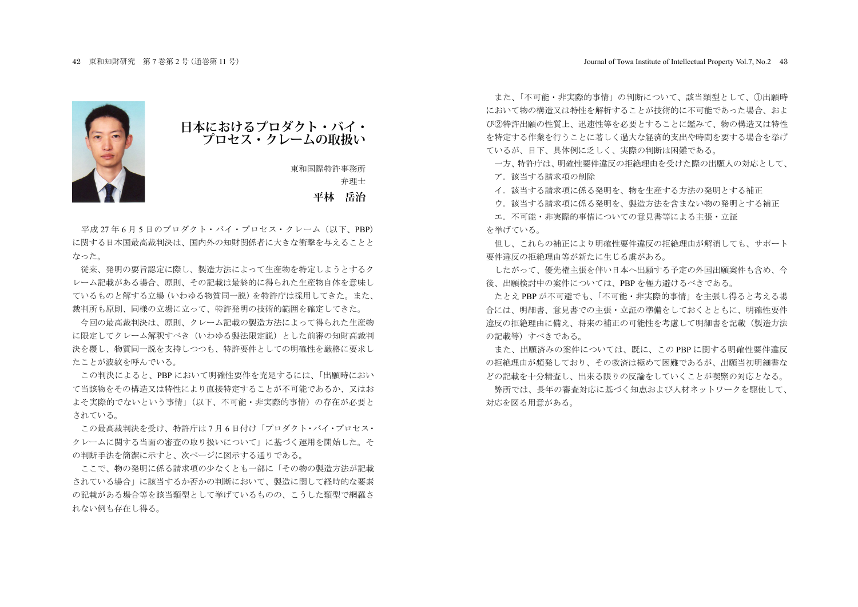

**日本におけるプロダクト・バイ・ プロセス・クレームの取扱い**

東和国際特許事務所 弁理士 **平林 岳治**

平成 27 年 6 月 5 日のプロダクト・バイ・プロセス・クレーム (以下、PRP) に関する日本国最高裁判決は、国内外の知財関係者に大きな衝撃を与えることと ࠋࡓࡗ࡞

従来、発明の要旨認定に際し、製造方法によって生産物を特定しようとするク レーム記載がある場合、原則、その記載は最終的に得られた生産物自体を意味し ているものと解する立場(いわゆる物質同一説)を特許庁は採用してきた。また。 栽判所も原則。同様の立場に立って、特許発明の技術的範囲を確定してきた。

今回の最高裁判決は、原則、クレーム記載の製造方法によって得られた生産物 に限定してクレーム解釈すべき(いわゆろ製法限定説)とした前審の知財高裁判 決を覆し、物質同一説を支持しつつも、特許要件としての明確性を厳格に要求し たことが波紋を呼んでいる。

この判決によると、PBP において明確性要件を充足するには、「出願時におい て当該物をその構造又は特性により直接特定することが不可能であるか、又はお よそ実際的でないという事情」(以下、不可能·非実際的事情)の存在が必要と されている.

この最高裁判決を受け、特許庁は7月6日付け「プロダクト・バイ・プロセス· クレームに関する当面の審査の取り扱いについて」に基づく運用を開始した。そ の判断手法を簡潔に示すと、次ページに図示する通りである。

ここで、物の発明に係る請求項の少なくとも一部に「その物の製造方法が記載 されている場合」に該当するか否かの判断において、製造に関して経時的な要素 の記載がある場合等を該当類型として挙げているものの、こうした類型で網羅さ れない例も存在し得る。

また、「不可能·非実際的事情」の判断について、該当類型として、11出願時 において物の構造又は特性を解析することが技術的に不可能であった場合、およ び②特許出願の性質上、迅速性等を必要とすることに鑑みて、物の構造又は特性 を特定する作業を行うことに著しく過大な経済的支出や時間を要する場合を挙げ ているが、目下、具体例に乏しく、実際の判断は困難である。

一方。特許庁は、明確性要件違反の拒絶理由を受けた際の出願人の対応として。

ア. 該当する請求項の削除

イ. 該当する請求項に係る発明を、物を生産する方法の発明とする補正

ウ、該当する請求項に係る発明を、製造方法を含まない物の発明とする補正

エ、不可能·非実際的事情についての意見書等による主張·立証 お挙げている。

但し、これらの補正により明確性要件違反の拒絶理由が解消しても、サポート 要件違反の拒絶理由等が新たに生じる盧がある。

したがって、優先権主張を伴い日本へ出願する予定の外国出願案件も含め、今 後、出願検討中の案件については、PBP を極力避けるべきである。

たとえ PBP が不可避でも、「不可能·非実際的事情」を主張し得ると考える場 合には、明細書、意見書での主張・立証の準備をしておくとともに、明確性要件 違反の拒絶理由に備え、将来の補正の可能性を考慮して明細書を記載(製造方法 の記載等)すべきである。

また、出願済みの案件については、既に、この PBP に関する明確性要件違反 の拒絶理由が頻発しており、その救済は極めて困難であるが、出願当初明細書な どの記載を十分精査し、出来る限りの反論をしていくことが喫緊の対応となる。

弊所では、長年の審査対応に基づく知恵および人材ネットワークを駆使して、 対応を図る用意がある。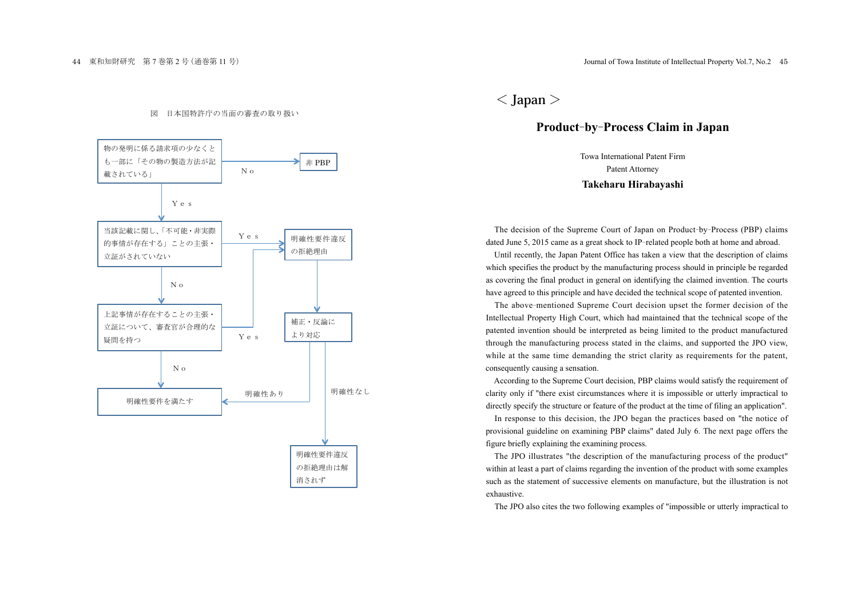## 図 日本国特許庁の当面の審査の取り扱い



 $<$  Japan  $>$ 

## Product-by-Process Claim in Japan

Towa International Patent Firm Patent Attorney Takeharu Hirabayashi

The decision of the Supreme Court of Japan on Product-by-Process (PBP) claims dated June 5, 2015 came as a great shock to IP-related people both at home and abroad.

Until recently, the Japan Patent Office has taken a view that the description of claims which specifies the product by the manufacturing process should in principle be regarded as covering the final product in general on identifying the claimed invention. The courts have agreed to this principle and have decided the technical scope of patented invention.

The above-mentioned Supreme Court decision upset the former decision of the Intellectual Property High Court, which had maintained that the technical scope of the patented invention should be interpreted as being limited to the product manufactured through the manufacturing process stated in the claims, and supported the JPO view, while at the same time demanding the strict clarity as requirements for the patent, consequently causing a sensation.

According to the Supreme Court decision, PBP claims would satisfy the requirement of clarity only if "there exist circumstances where it is impossible or utterly impractical to directly specify the structure or feature of the product at the time of filing an application".

In response to this decision, the JPO began the practices based on "the notice of provisional guideline on examining PBP claims" dated July 6. The next page offers the figure briefly explaining the examining process.

The JPO illustrates "the description of the manufacturing process of the product" within at least a part of claims regarding the invention of the product with some examples such as the statement of successive elements on manufacture, but the illustration is not exhaustive

The JPO also cites the two following examples of "impossible or utterly impractical to